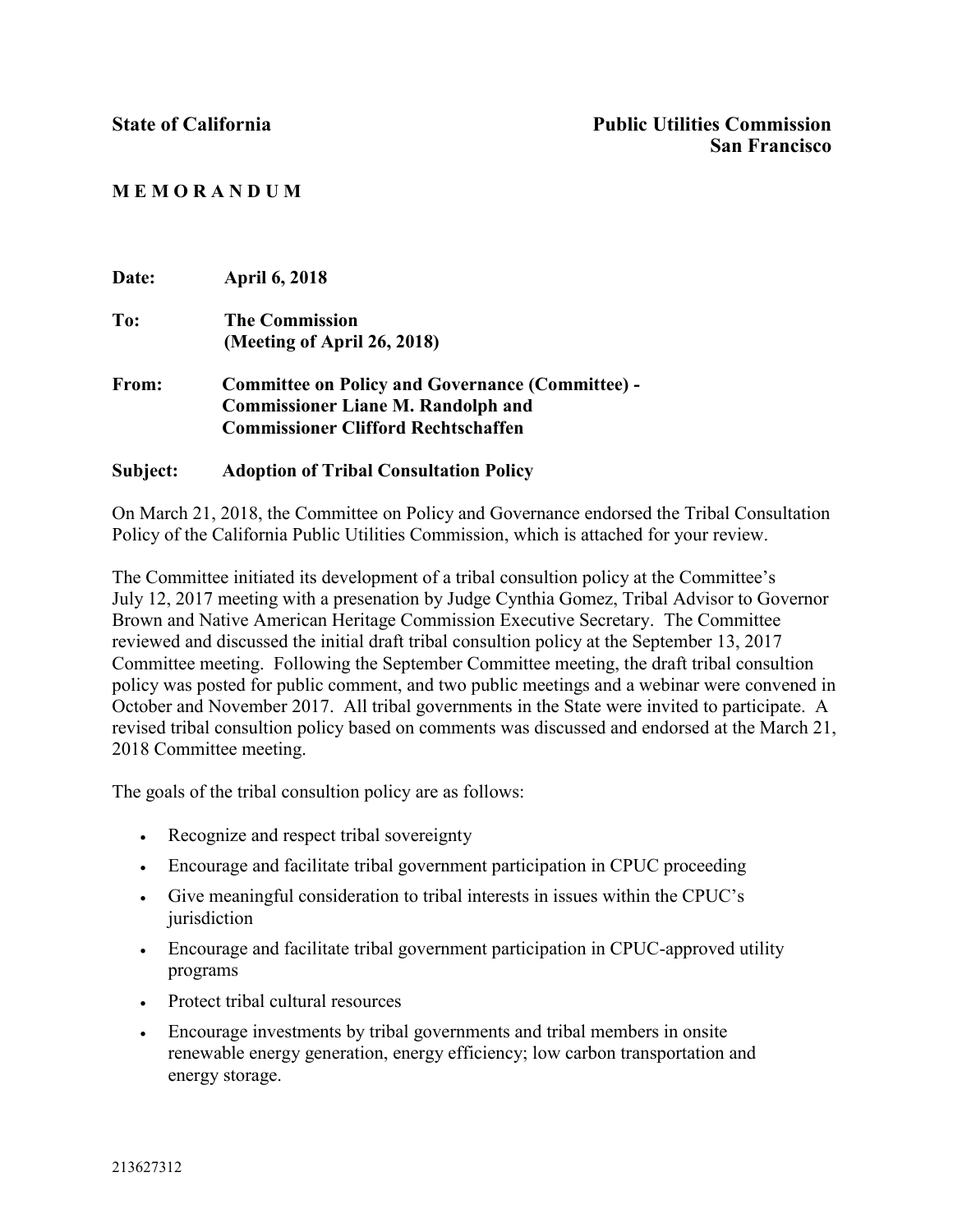## **M E M O R A N D U M**

| Date: | <b>April 6, 2018</b>                                    |
|-------|---------------------------------------------------------|
| To:   | <b>The Commission</b>                                   |
|       | (Meeting of April 26, 2018)                             |
| From: | <b>Committee on Policy and Governance (Committee) -</b> |
|       | <b>Commissioner Liane M. Randolph and</b>               |
|       | <b>Commissioner Clifford Rechtschaffen</b>              |
|       |                                                         |

#### **Subject: Adoption of Tribal Consultation Policy**

On March 21, 2018, the Committee on Policy and Governance endorsed the Tribal Consultation Policy of the California Public Utilities Commission, which is attached for your review.

The Committee initiated its development of a tribal consultion policy at the Committee's July 12, 2017 meeting with a presenation by Judge Cynthia Gomez, Tribal Advisor to Governor Brown and Native American Heritage Commission Executive Secretary. The Committee reviewed and discussed the initial draft tribal consultion policy at the September 13, 2017 Committee meeting. Following the September Committee meeting, the draft tribal consultion policy was posted for public comment, and two public meetings and a webinar were convened in October and November 2017. All tribal governments in the State were invited to participate. A revised tribal consultion policy based on comments was discussed and endorsed at the March 21, 2018 Committee meeting.

The goals of the tribal consultion policy are as follows:

- Recognize and respect tribal sovereignty
- Encourage and facilitate tribal government participation in CPUC proceeding
- Give meaningful consideration to tribal interests in issues within the CPUC's jurisdiction
- Encourage and facilitate tribal government participation in CPUC-approved utility programs
- Protect tribal cultural resources
- Encourage investments by tribal governments and tribal members in onsite renewable energy generation, energy efficiency; low carbon transportation and energy storage.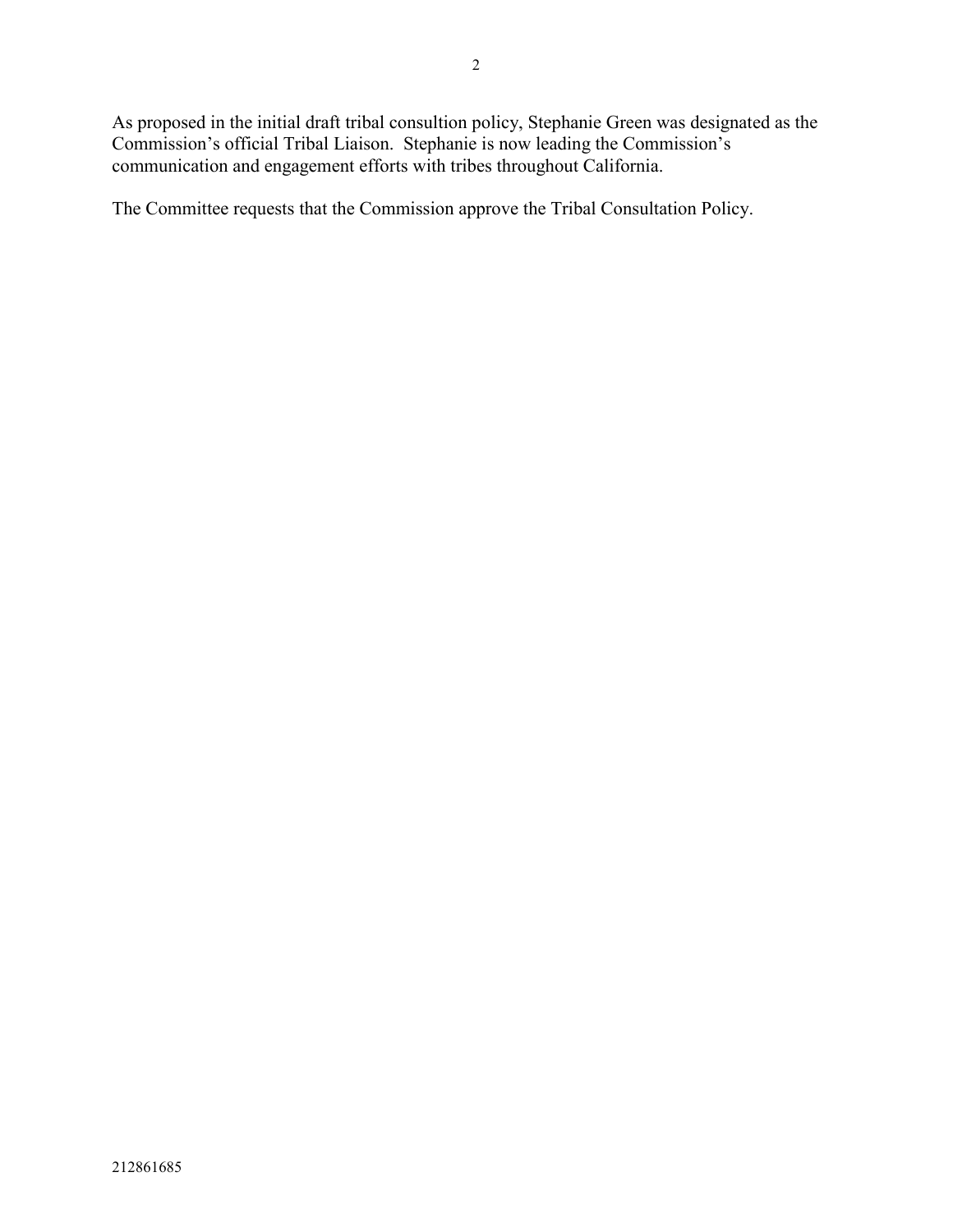As proposed in the initial draft tribal consultion policy, Stephanie Green was designated as the Commission's official Tribal Liaison. Stephanie is now leading the Commission's communication and engagement efforts with tribes throughout California.

The Committee requests that the Commission approve the Tribal Consultation Policy.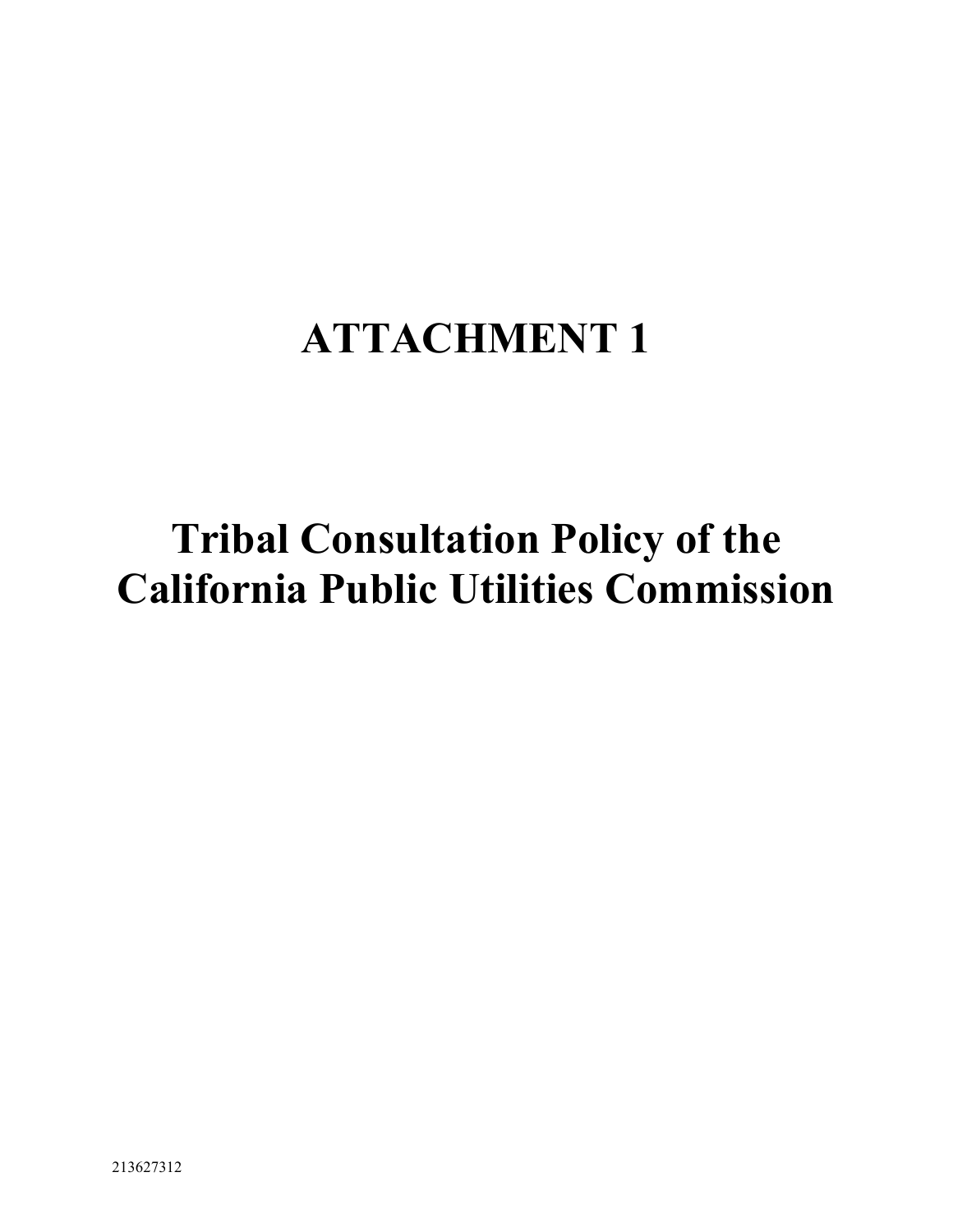## **ATTACHMENT 1**

# **Tribal Consultation Policy of the California Public Utilities Commission**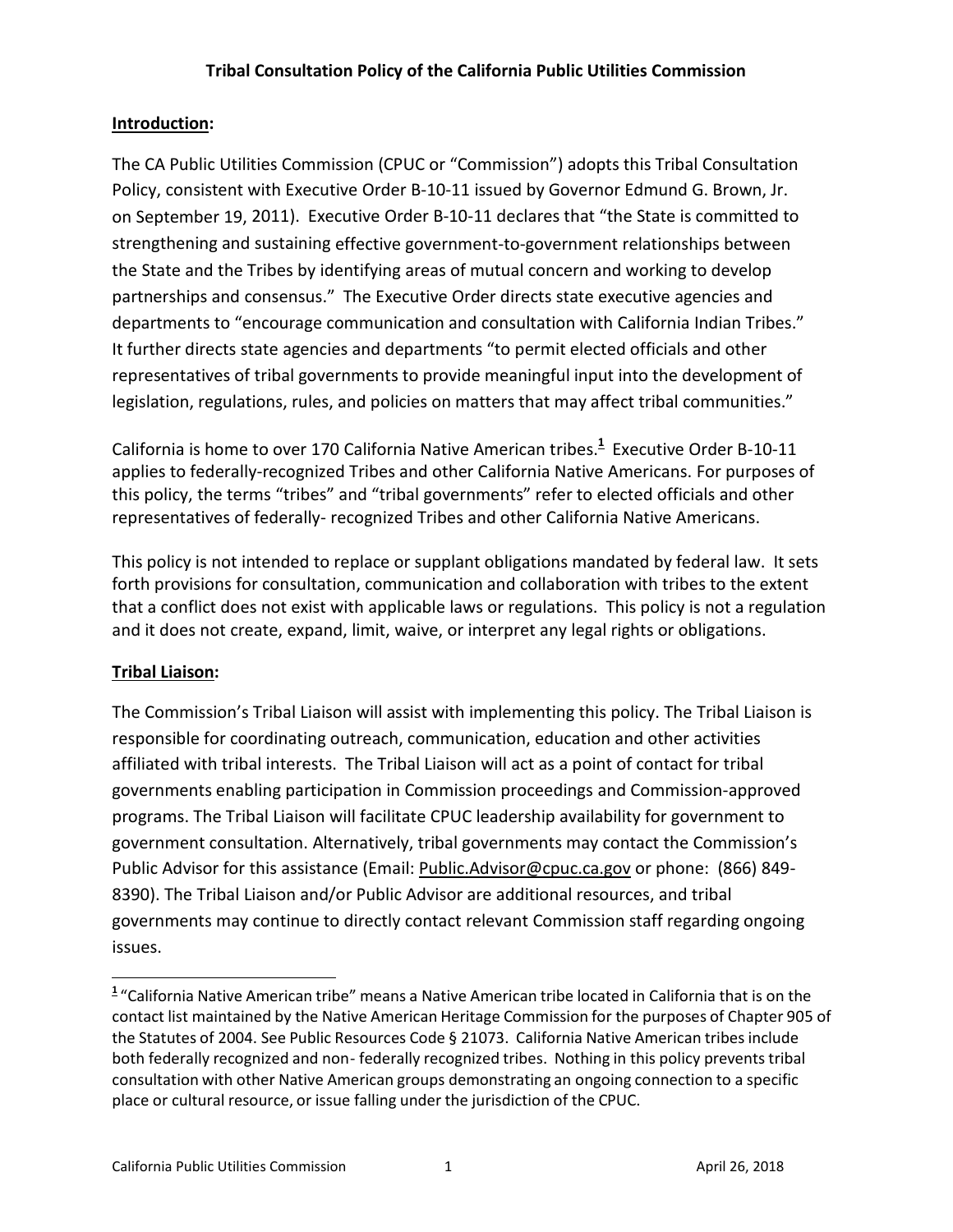## **Introduction:**

The CA Public Utilities Commission (CPUC or "Commission") adopts this Tribal Consultation Policy, consistent with Executive Order B-10-11 issued by Governor Edmund G. Brown, Jr. on September 19, 2011). Executive Order B-10-11 declares that "the State is committed to strengthening and sustaining effective government-to-government relationships between the State and the Tribes by identifying areas of mutual concern and working to develop partnerships and consensus." The Executive Order directs state executive agencies and departments to "encourage communication and consultation with California Indian Tribes." It further directs state agencies and departments "to permit elected officials and other representatives of tribal governments to provide meaningful input into the development of legislation, regulations, rules, and policies on matters that may affect tribal communities."

California is home to over 170 California Native American tribes. **1** Executive Order B-10-11 applies to federally-recognized Tribes and other California Native Americans. For purposes of this policy, the terms "tribes" and "tribal governments" refer to elected officials and other representatives of federally- recognized Tribes and other California Native Americans.

This policy is not intended to replace or supplant obligations mandated by federal law. It sets forth provisions for consultation, communication and collaboration with tribes to the extent that a conflict does not exist with applicable laws or regulations. This policy is not a regulation and it does not create, expand, limit, waive, or interpret any legal rights or obligations.

## **Tribal Liaison:**

 $\overline{a}$ 

The Commission's Tribal Liaison will assist with implementing this policy. The Tribal Liaison is responsible for coordinating outreach, communication, education and other activities affiliated with tribal interests. The Tribal Liaison will act as a point of contact for tribal governments enabling participation in Commission proceedings and Commission-approved programs. The Tribal Liaison will facilitate CPUC leadership availability for government to government consultation. Alternatively, tribal governments may contact the Commission's Public Advisor for this assistance (Email: [Public.Advisor@cpuc.ca.gov](mailto:Public.Advisor@cpuc.ca.gov) or phone: (866) 849- 8390). The Tribal Liaison and/or Public Advisor are additional resources, and tribal governments may continue to directly contact relevant Commission staff regarding ongoing issues.

**<sup>1</sup>** "California Native American tribe" means a Native American tribe located in California that is on the contact list maintained by the Native American Heritage Commission for the purposes of Chapter 905 of the Statutes of 2004. See Public Resources Code § 21073. California Native American tribes include both federally recognized and non- federally recognized tribes. Nothing in this policy prevents tribal consultation with other Native American groups demonstrating an ongoing connection to a specific place or cultural resource, or issue falling under the jurisdiction of the CPUC.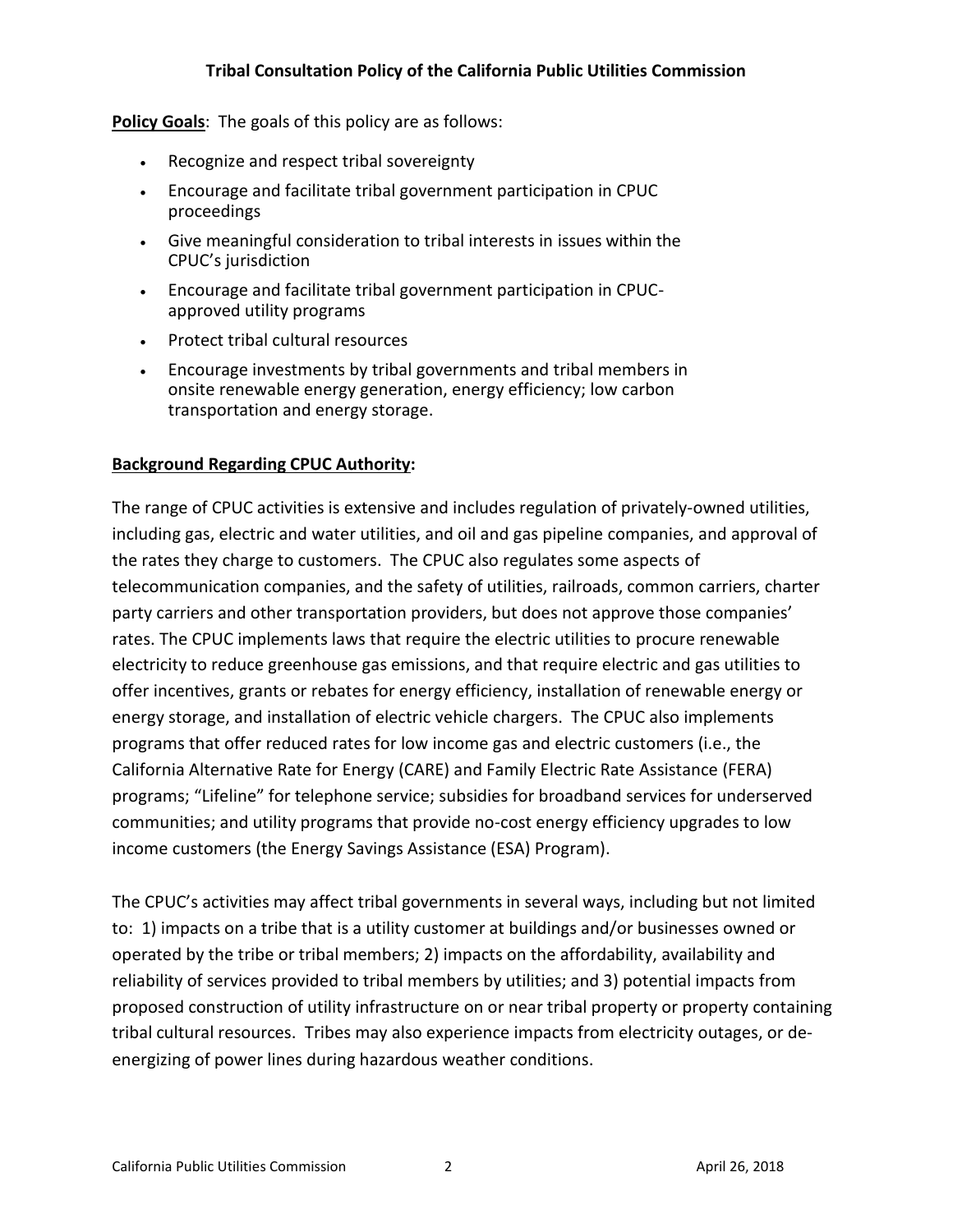#### **Policy Goals**: The goals of this policy are as follows:

- Recognize and respect tribal sovereignty
- Encourage and facilitate tribal government participation in CPUC proceedings
- Give meaningful consideration to tribal interests in issues within the CPUC's jurisdiction
- Encourage and facilitate tribal government participation in CPUCapproved utility programs
- Protect tribal cultural resources
- Encourage investments by tribal governments and tribal members in onsite renewable energy generation, energy efficiency; low carbon transportation and energy storage.

#### **Background Regarding CPUC Authority:**

The range of CPUC activities is extensive and includes regulation of privately-owned utilities, including gas, electric and water utilities, and oil and gas pipeline companies, and approval of the rates they charge to customers. The CPUC also regulates some aspects of telecommunication companies, and the safety of utilities, railroads, common carriers, charter party carriers and other transportation providers, but does not approve those companies' rates. The CPUC implements laws that require the electric utilities to procure renewable electricity to reduce greenhouse gas emissions, and that require electric and gas utilities to offer incentives, grants or rebates for energy efficiency, installation of renewable energy or energy storage, and installation of electric vehicle chargers. The CPUC also implements programs that offer reduced rates for low income gas and electric customers (i.e., the California Alternative Rate for Energy (CARE) and Family Electric Rate Assistance (FERA) programs; "Lifeline" for telephone service; subsidies for broadband services for underserved communities; and utility programs that provide no-cost energy efficiency upgrades to low income customers (the Energy Savings Assistance (ESA) Program).

The CPUC's activities may affect tribal governments in several ways, including but not limited to: 1) impacts on a tribe that is a utility customer at buildings and/or businesses owned or operated by the tribe or tribal members; 2) impacts on the affordability, availability and reliability of services provided to tribal members by utilities; and 3) potential impacts from proposed construction of utility infrastructure on or near tribal property or property containing tribal cultural resources. Tribes may also experience impacts from electricity outages, or deenergizing of power lines during hazardous weather conditions.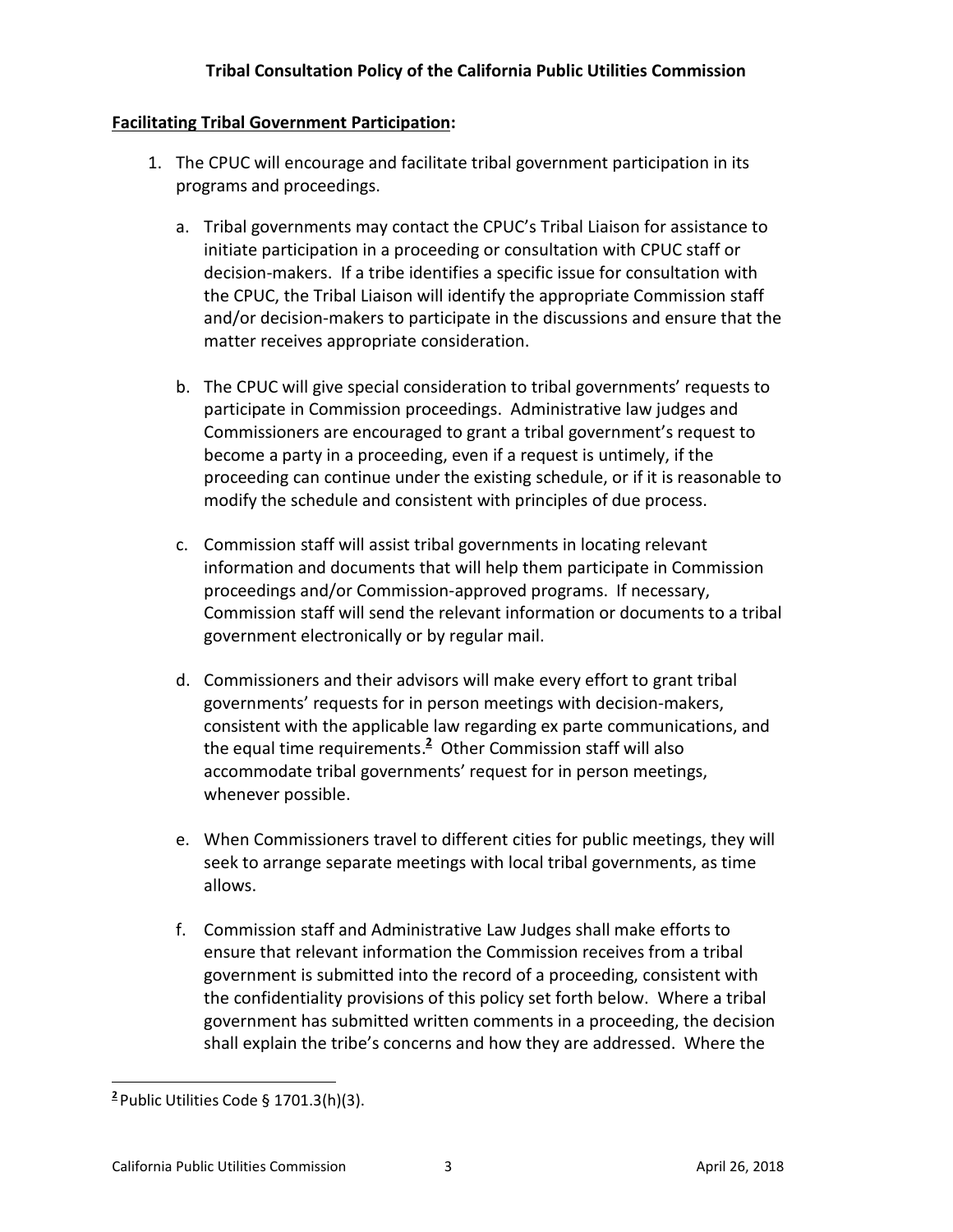## **Facilitating Tribal Government Participation:**

- 1. The CPUC will encourage and facilitate tribal government participation in its programs and proceedings.
	- a. Tribal governments may contact the CPUC's Tribal Liaison for assistance to initiate participation in a proceeding or consultation with CPUC staff or decision-makers. If a tribe identifies a specific issue for consultation with the CPUC, the Tribal Liaison will identify the appropriate Commission staff and/or decision-makers to participate in the discussions and ensure that the matter receives appropriate consideration.
	- b. The CPUC will give special consideration to tribal governments' requests to participate in Commission proceedings. Administrative law judges and Commissioners are encouraged to grant a tribal government's request to become a party in a proceeding, even if a request is untimely, if the proceeding can continue under the existing schedule, or if it is reasonable to modify the schedule and consistent with principles of due process.
	- c. Commission staff will assist tribal governments in locating relevant information and documents that will help them participate in Commission proceedings and/or Commission-approved programs. If necessary, Commission staff will send the relevant information or documents to a tribal government electronically or by regular mail.
	- d. Commissioners and their advisors will make every effort to grant tribal governments' requests for in person meetings with decision-makers, consistent with the applicable law regarding ex parte communications, and the equal time requirements. **<sup>2</sup>** Other Commission staff will also accommodate tribal governments' request for in person meetings, whenever possible.
	- e. When Commissioners travel to different cities for public meetings, they will seek to arrange separate meetings with local tribal governments, as time allows.
	- f. Commission staff and Administrative Law Judges shall make efforts to ensure that relevant information the Commission receives from a tribal government is submitted into the record of a proceeding, consistent with the confidentiality provisions of this policy set forth below. Where a tribal government has submitted written comments in a proceeding, the decision shall explain the tribe's concerns and how they are addressed. Where the

l

**<sup>2</sup>** Public Utilities Code § 1701.3(h)(3).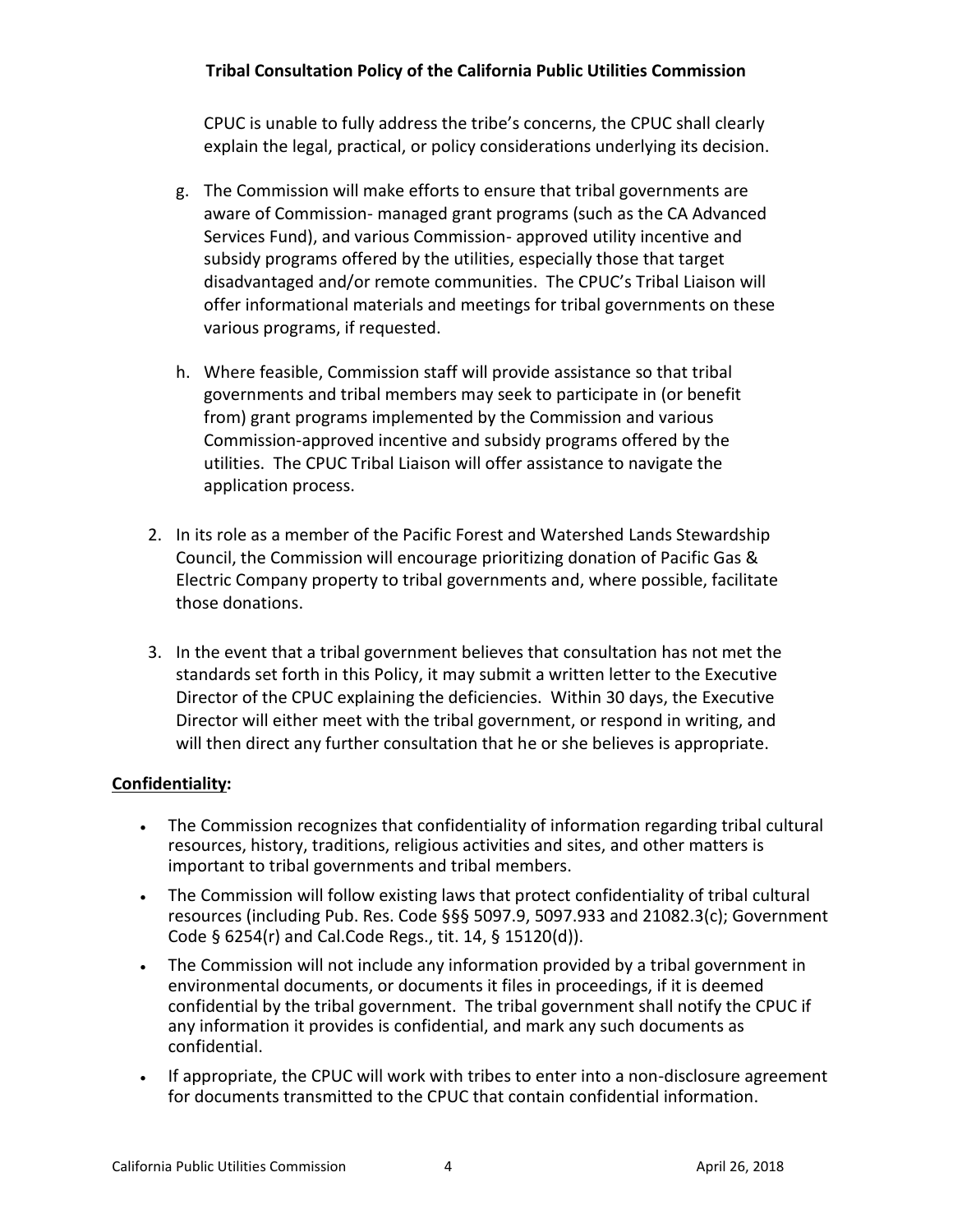CPUC is unable to fully address the tribe's concerns, the CPUC shall clearly explain the legal, practical, or policy considerations underlying its decision.

- g. The Commission will make efforts to ensure that tribal governments are aware of Commission- managed grant programs (such as the CA Advanced Services Fund), and various Commission- approved utility incentive and subsidy programs offered by the utilities, especially those that target disadvantaged and/or remote communities. The CPUC's Tribal Liaison will offer informational materials and meetings for tribal governments on these various programs, if requested.
- h. Where feasible, Commission staff will provide assistance so that tribal governments and tribal members may seek to participate in (or benefit from) grant programs implemented by the Commission and various Commission-approved incentive and subsidy programs offered by the utilities. The CPUC Tribal Liaison will offer assistance to navigate the application process.
- 2. In its role as a member of the Pacific Forest and Watershed Lands Stewardship Council, the Commission will encourage prioritizing donation of Pacific Gas & Electric Company property to tribal governments and, where possible, facilitate those donations.
- 3. In the event that a tribal government believes that consultation has not met the standards set forth in this Policy, it may submit a written letter to the Executive Director of the CPUC explaining the deficiencies. Within 30 days, the Executive Director will either meet with the tribal government, or respond in writing, and will then direct any further consultation that he or she believes is appropriate.

#### **Confidentiality:**

- The Commission recognizes that confidentiality of information regarding tribal cultural resources, history, traditions, religious activities and sites, and other matters is important to tribal governments and tribal members.
- The Commission will follow existing laws that protect confidentiality of tribal cultural resources (including Pub. Res. Code §§§ 5097.9, 5097.933 and 21082.3(c); Government Code § 6254(r) and Cal.Code Regs., tit. 14, § 15120(d)).
- The Commission will not include any information provided by a tribal government in environmental documents, or documents it files in proceedings, if it is deemed confidential by the tribal government. The tribal government shall notify the CPUC if any information it provides is confidential, and mark any such documents as confidential.
- If appropriate, the CPUC will work with tribes to enter into a non-disclosure agreement for documents transmitted to the CPUC that contain confidential information.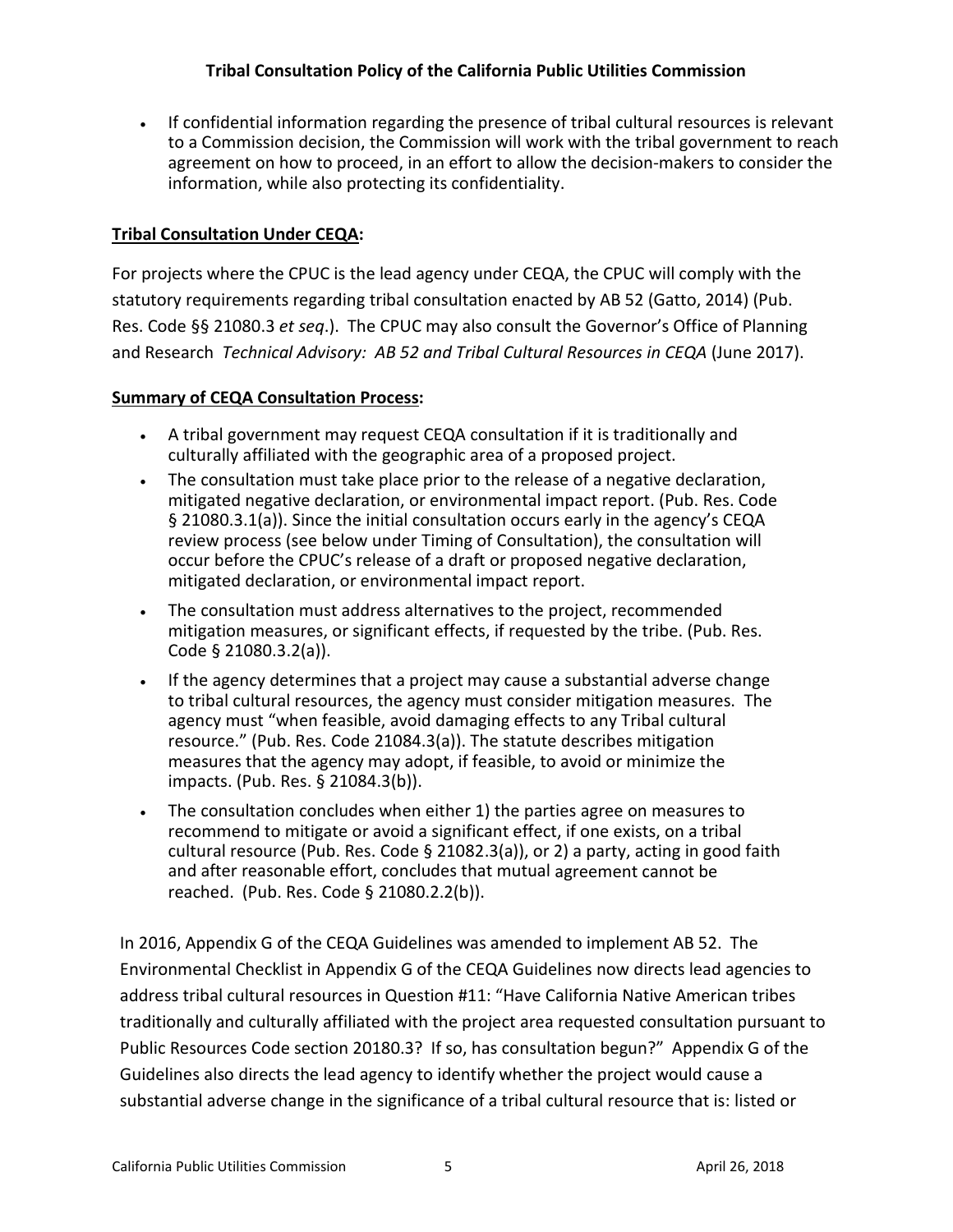If confidential information regarding the presence of tribal cultural resources is relevant to a Commission decision, the Commission will work with the tribal government to reach agreement on how to proceed, in an effort to allow the decision-makers to consider the information, while also protecting its confidentiality.

## **Tribal Consultation Under CEQA:**

For projects where the CPUC is the lead agency under CEQA, the CPUC will comply with the statutory requirements regarding tribal consultation enacted by AB 52 (Gatto, 2014) (Pub. Res. Code §§ 21080.3 *et seq*.). The CPUC may also consult the Governor's Office of Planning and Research *Technical Advisory: AB 52 and Tribal Cultural Resources in CEQA* (June 2017).

#### **Summary of CEQA Consultation Process:**

- A tribal government may request CEQA consultation if it is traditionally and culturally affiliated with the geographic area of a proposed project.
- The consultation must take place prior to the release of a negative declaration, mitigated negative declaration, or environmental impact report. (Pub. Res. Code § 21080.3.1(a)). Since the initial consultation occurs early in the agency's CEQA review process (see below under Timing of Consultation), the consultation will occur before the CPUC's release of a draft or proposed negative declaration, mitigated declaration, or environmental impact report.
- The consultation must address alternatives to the project, recommended mitigation measures, or significant effects, if requested by the tribe. (Pub. Res. Code § 21080.3.2(a)).
- If the agency determines that a project may cause a substantial adverse change to tribal cultural resources, the agency must consider mitigation measures. The agency must "when feasible, avoid damaging effects to any Tribal cultural resource." (Pub. Res. Code 21084.3(a)). The statute describes mitigation measures that the agency may adopt, if feasible, to avoid or minimize the impacts. (Pub. Res. § 21084.3(b)).
- The consultation concludes when either 1) the parties agree on measures to recommend to mitigate or avoid a significant effect, if one exists, on a tribal cultural resource (Pub. Res. Code § 21082.3(a)), or 2) a party, acting in good faith and after reasonable effort, concludes that mutual agreement cannot be reached. (Pub. Res. Code § 21080.2.2(b)).

In 2016, Appendix G of the CEQA Guidelines was amended to implement AB 52. The Environmental Checklist in Appendix G of the CEQA Guidelines now directs lead agencies to address tribal cultural resources in Question #11: "Have California Native American tribes traditionally and culturally affiliated with the project area requested consultation pursuant to Public Resources Code section 20180.3? If so, has consultation begun?" Appendix G of the Guidelines also directs the lead agency to identify whether the project would cause a substantial adverse change in the significance of a tribal cultural resource that is: listed or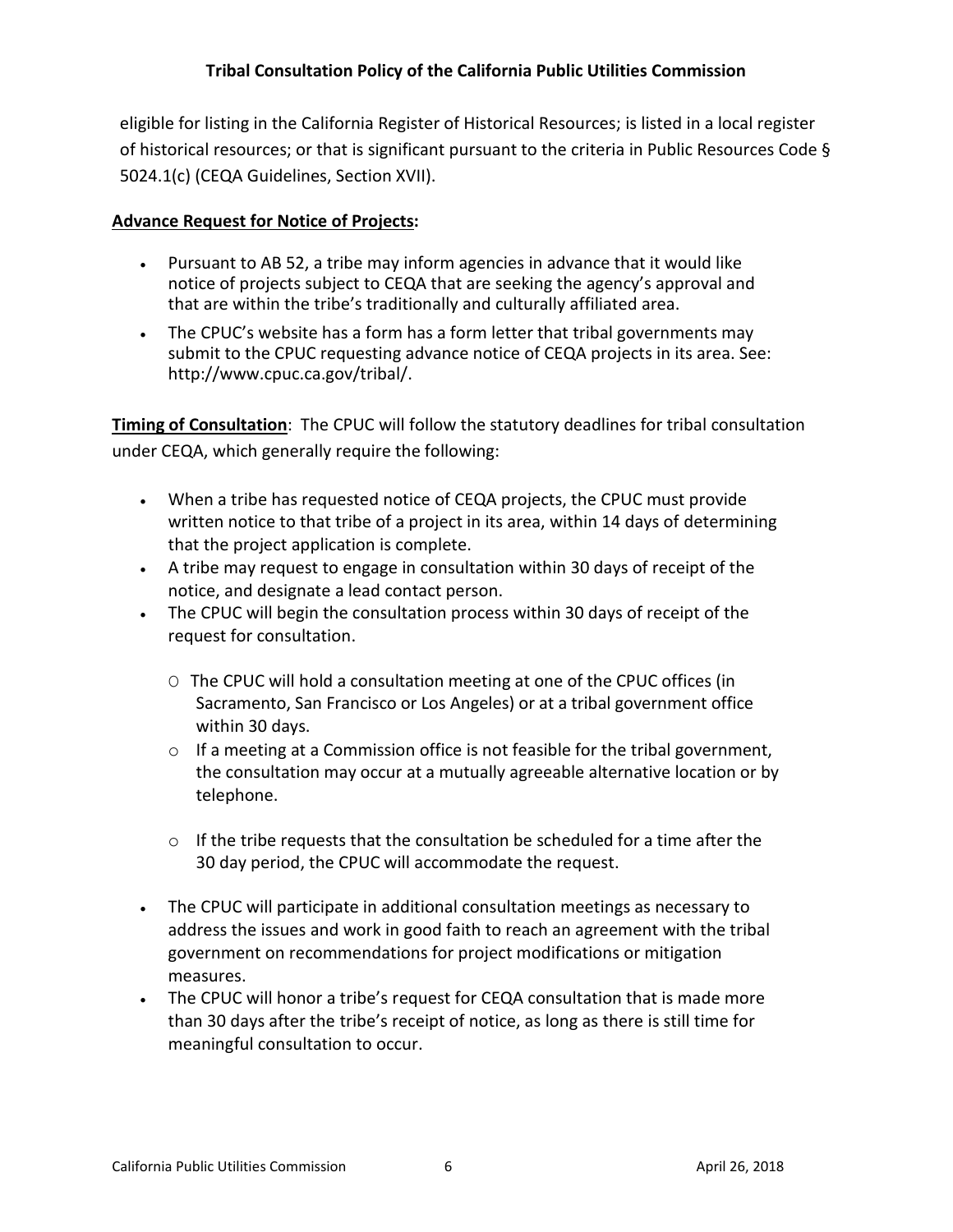eligible for listing in the California Register of Historical Resources; is listed in a local register of historical resources; or that is significant pursuant to the criteria in Public Resources Code § 5024.1(c) (CEQA Guidelines, Section XVII).

#### **Advance Request for Notice of Projects:**

- Pursuant to AB 52, a tribe may inform agencies in advance that it would like notice of projects subject to CEQA that are seeking the agency's approval and that are within the tribe's traditionally and culturally affiliated area.
- The CPUC's website has a form has a form letter that tribal governments may submit to the CPUC requesting advance notice of CEQA projects in its area. See: [http://www.cpuc.ca.gov/tribal/.](http://www.cpuc.ca.gov/tribal/)

**Timing of Consultation**: The CPUC will follow the statutory deadlines for tribal consultation under CEQA, which generally require the following:

- When a tribe has requested notice of CEQA projects, the CPUC must provide written notice to that tribe of a project in its area, within 14 days of determining that the project application is complete.
- A tribe may request to engage in consultation within 30 days of receipt of the notice, and designate a lead contact person.
- The CPUC will begin the consultation process within 30 days of receipt of the request for consultation.
	- O The CPUC will hold a consultation meeting at one of the CPUC offices (in Sacramento, San Francisco or Los Angeles) or at a tribal government office within 30 days.
	- $\circ$  If a meeting at a Commission office is not feasible for the tribal government, the consultation may occur at a mutually agreeable alternative location or by telephone.
	- $\circ$  If the tribe requests that the consultation be scheduled for a time after the 30 day period, the CPUC will accommodate the request.
- The CPUC will participate in additional consultation meetings as necessary to address the issues and work in good faith to reach an agreement with the tribal government on recommendations for project modifications or mitigation measures.
- The CPUC will honor a tribe's request for CEQA consultation that is made more than 30 days after the tribe's receipt of notice, as long as there is still time for meaningful consultation to occur.